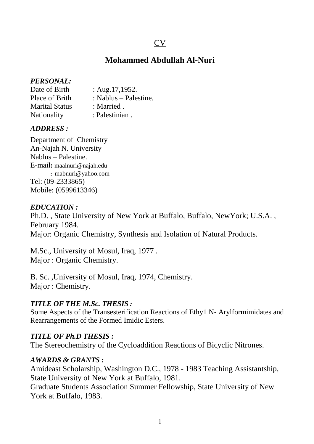# CV

## **Mohammed Abdullah Al-Nuri**

#### *PERSONAL:*

| Date of Birth         | : Aug. $17,1952$ .      |
|-----------------------|-------------------------|
| Place of Brith        | : Nablus $-$ Palestine. |
| <b>Marital Status</b> | : Married.              |
| Nationality           | : Palestinian.          |

#### *ADDRESS :*

Department of Chemistry An-Najah N. University Nablus – Palestine. E-mail**:** maalnuri@najah.edu : mabnuri@yahoo.com Tel: (09-2333865) Mobile: (0599613346)

#### *EDUCATION :*

Ph.D. , State University of New York at Buffalo, Buffalo, NewYork; U.S.A. , February 1984. Major: Organic Chemistry, Synthesis and Isolation of Natural Products.

M.Sc., University of Mosul, Iraq, 1977 . Major : Organic Chemistry.

B. Sc. ,University of Mosul, Iraq, 1974, Chemistry. Major : Chemistry.

## *TITLE OF THE M.Sc. THESIS :*

Some Aspects of the Transesterification Reactions of Ethy1 N- Arylformimidates and Rearrangements of the Formed Imidic Esters.

#### *TITLE OF Ph.D THESIS :*

The Stereochemistry of the Cycloaddition Reactions of Bicyclic Nitrones.

#### *AWARDS & GRANTS* **:**

Amideast Scholarship, Washington D.C., 1978 - 1983 Teaching Assistantship, State University of New York at Buffalo, 1981.

Graduate Students Association Summer Fellowship, State University of New York at Buffalo, 1983.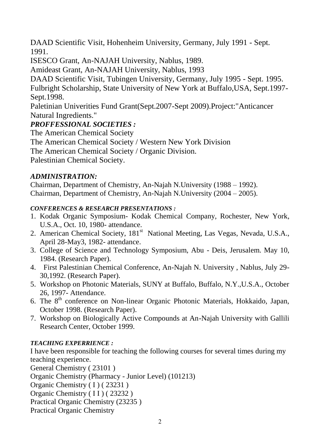DAAD Scientific Visit, Hohenheim University, Germany, July 1991 - Sept. 1991.

ISESCO Grant, An-NAJAH University, Nablus, 1989.

Amideast Grant, An-NAJAH University, Nablus, 1993

DAAD Scientific Visit, Tubingen University, Germany, July 1995 - Sept. 1995. Fulbright Scholarship, State University of New York at Buffalo,USA, Sept.1997- Sept.1998.

Paletinian Univerities Fund Grant(Sept.2007-Sept 2009).Project:"Anticancer Natural Ingredients."

## *PROFFESSIONAL SOCIETIES :*

The American Chemical Society The American Chemical Society / Western New York Division The American Chemical Society / Organic Division. Palestinian Chemical Society.

## *ADMINISTRATION:*

Chairman, Department of Chemistry, An-Najah N.University (1988 – 1992). Chairman, Department of Chemistry, An-Najah N.University (2004 – 2005).

## *CONFERENCES & RESEARCH PRESENTATIONS :*

- 1. Kodak Organic Symposium- Kodak Chemical Company, Rochester, New York, U.S.A., Oct. 10, 1980- attendance.
- 2. American Chemical Society, 181<sup>st</sup> National Meeting, Las Vegas, Nevada, U.S.A., April 28-May3, 1982- attendance.
- 3. College of Science and Technology Symposium, Abu Deis, Jerusalem. May 10, 1984. (Research Paper).
- 4. First Palestinian Chemical Conference, An-Najah N. University , Nablus, July 29- 30,1992. (Research Paper).
- 5. Workshop on Photonic Materials, SUNY at Buffalo, Buffalo, N.Y.,U.S.A., October 26, 1997- Attendance.
- 6. The 8<sup>th</sup> conference on Non-linear Organic Photonic Materials, Hokkaido, Japan, October 1998. (Research Paper).
- 7. Workshop on Biologically Active Compounds at An-Najah University with Gallili Research Center, October 1999.

## *TEACHING EXPERRIENCE :*

I have been responsible for teaching the following courses for several times during my teaching experience.

General Chemistry ( 23101 )

Organic Chemistry (Pharmacy - Junior Level) (101213)

Organic Chemistry ( I ) ( 23231 )

Organic Chemistry ( I I ) ( 23232 )

Practical Organic Chemistry (23235 )

Practical Organic Chemistry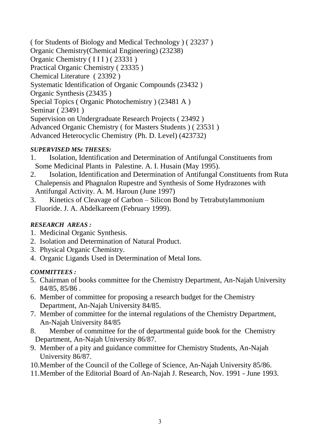( for Students of Biology and Medical Technology ) ( 23237 ) Organic Chemistry(Chemical Engineering) (23238) Organic Chemistry (III) (23331) Practical Organic Chemistry ( 23335 ) Chemical Literature ( 23392 ) Systematic Identification of Organic Compounds (23432 ) Organic Synthesis (23435 ) Special Topics ( Organic Photochemistry ) (23481 A ) Seminar ( 23491 ) Supervision on Undergraduate Research Projects ( 23492 ) Advanced Organic Chemistry ( for Masters Students ) ( 23531 ) Advanced Heterocyclic Chemistry (Ph. D. Level) (423732)

## *SUPERVISED MSc THESES:*

- 1. Isolation, Identification and Determination of Antifungal Constituents from Some Medicinal Plants in Palestine. A. I. Husain (May 1995).
- 2. Isolation, Identification and Determination of Antifungal Constituents from Ruta Chalepensis and Phagnalon Rupestre and Synthesis of Some Hydrazones with Antifungal Activity. A. M. Haroun (June 1997)
- 3. Kinetics of Cleavage of Carbon Silicon Bond by Tetrabutylammonium Fluoride. J. A. Abdelkareem (February 1999).

## *RESEARCH AREAS :*

- 1. Medicinal Organic Synthesis.
- 2. Isolation and Determination of Natural Product.
- 3. Physical Organic Chemistry.
- 4. Organic Ligands Used in Determination of Metal Ions.

## *COMMITTEES :*

- 5. Chairman of books committee for the Chemistry Department, An-Najah University 84/85, 85/86 .
- 6. Member of committee for proposing a research budget for the Chemistry Department, An-Najah University 84/85.
- 7. Member of committee for the internal regulations of the Chemistry Department, An-Najah University 84/85
- 8. Member of committee for the of departmental guide book for the Chemistry Department, An-Najah University 86/87.
- 9. Member of a pity and guidance committee for Chemistry Students, An-Najah University 86/87.
- 10.Member of the Council of the College of Science, An-Najah University 85/86.
- 11.Member of the Editorial Board of An-Najah J. Research, Nov. 1991 June 1993.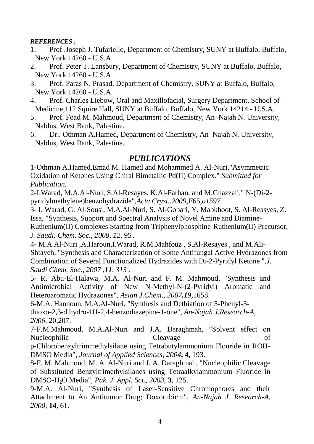*REFERENCES :*

- 1. Prof .Joseph J. Tufariello, Department of Chemistry, SUNY at Buffalo, Buffalo, New York 14260 - U.S.A.
- 2. Prof. Peter T. Lansbury, Department of Chemistry, SUNY at Buffalo, Buffalo, New York 14260 - U.S.A.
- 3. Prof. Paras N. Prasad, Department of Chemistry, SUNY at Buffalo, Buffalo, New York 14260 - U.S.A.
- 4. Prof. Charles Liebow, Oral and Maxillofacial, Surgery Department, School of Medicine,112 Squire Hall, SUNY at Buffalo. Buffalo, New York 14214 - U.S.A.
- 5. Prof. Foad M. Mahmoud, Department of Chemistry, An–Najah N. University, Nablus, West Bank, Palestine.
- 6. Dr.. Othman A.Hamed, Department of Chemistry, An–Najah N. University, Nablus, West Bank, Palestine.

# *PUBLICATIONS*

1-Othman A.Hamed,Emad M. Hamed and Mohammed A. Al-Nuri,"Asymmetric Oxidation of Ketones Using Chiral Bimetallic Pd(II) Complex." *Submitted for Publication.*

2-I.Warad, M.A.Al-Nuri, S.Al-Resayes, K.Al-Farhan, and M.Ghazzali," N-(Di-2 pyridylmethylene)benzohydrazide",*Acta Cryst.,2009,E*65*,o1597.*

3- I. Warad, G. Al-Sousi, M.A.Al-Nuri, S. Al-Gobari, Y. Mabkhoot, S. Al-Reasyes, Z. Issa, "Synthesis, Support and Spectral Analysis of Novel Amine and Diamine-Ruthenium(II) Complexes Starting from Triphenylphosphine-Ruthenium(II) Precursor,

J*. Saudi. Chem. Soc.*, *2008*, *12*, 95.

4**-** M.A.Al-Nuri ,A.Haroun,I.Warad, R.M.Mahfouz , S.Al-Resayes , and M.Ali-Shtayeh, "Synthesis and Characterization of Some Antifungal Active Hydrazones from Combination of Several Functionalized Hydrazides with Di-2-Pyridyl Ketone "*,J. Saudi Chem. Soc., 2007 ,11, 313 .*

5- R. Abu-El-Halawa, M.A. Al-Nuri and F. M. Mahmoud, "Synthesis and Antimicrobial Activity of New N-Methyl-N-(2-Pyridyl) Aromatic and Heteroaromatic Hydrazones", *Asian J.Chem*., *2007,19*,1658.

6-M.A. Hannoun, M.A.Al-Nuri, "Synthesis and Dethiation of 5-Phenyl-3 thioxo-2,3-dihydro-1H-2,4-benzodiazepine-1-one", *An-Najah J.Research-A*, *2006*, 20,207.

7-F.M.Mahmoud, M.A.Al-Nuri and J.A. Daraghmah, "Solvent effect on Nueleophilic Cleavage of

p-Chlorobenzyltrimmethylsilane using Tetrabutylammonium Flouride in ROH-DMSO Media", *Journal of Applied Sciences*, *2004***, 4,** 193.

8-F. M. Mahmoud, M. A. Al-Nuri and J. A. Daraghmah, "Nucleophilic Cleavage of Substituted Benzyltrimethylsilanes using Tetraalkylammonium Fluoride in DMSO-H2O Media", *Pak. J. Appl. Sci., 2003*, **3**, 125.

9-M.A. Al-Nuri, "Synthesis of Laser-Sensitive Chromophores and their Attachment to An Antitumor Drug; Doxorubicin", *An-Najah J. Research-A, 2000*, **14**, 61.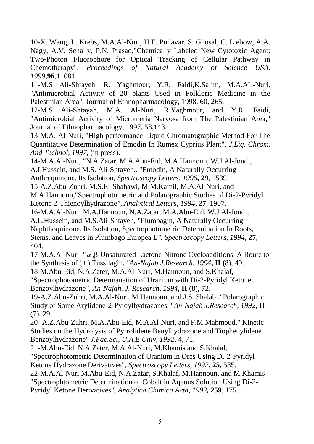10-X. Wang, L. Krebs, M.A.Al-Nuri, H.E. Pudavar, S. Ghosal, C. Liebow, A.A. Nagy, A.V. Schally, P.N. Prasad,"Chemically Labeled New Cytotoxic Agent: Two-Photon Fluorophore for Optical Tracking of Cellular Pathway in Chemotherapy". *Proceedings of Natural Academy of Science USA. 1999*,**96**,11081.

11-M.S Ali-Shtayeh, R. Yaghmour, Y.R. Faidi,K.Salim, M.A.AL-Nuri, "Antimicrobial Activity of 20 plants Used in Folkloric Medicine in the Palestinian Area", Journal of Ethnopharmacology, 1998, 60, 265.

12-M.S Ali-Shtayah, M.A. Al-Nuri, R.Yaghmour, and Y.R. Faidi, "Antimicrobial Activity of Micromeria Narvosa from The Palestinian Area," Journal of Ethnopharmacology, 1997, 58,143.

13-M.A. Al-Nuri, "High performance Liquid Chromatographic Method For The Quantitative Determination of Emodin In Rumex Cyprius Plant", *J.Liq. Chrom. And Technol, 1997*, (in press).

14-M.A.Al-Nuri, "N.A.Zatar, M.A.Abu-Eid, M.A.Hannoun, W.J.Al-Jondi,

A.I.Hussein, and M.S. Ali-Shtayeh.. "Emodin, A Naturally Occurring

Anthraquinone. Its Isolation*, Spectroscopy Letters, 1996***, 29**, 1539.

15-A.Z.Abu-Zuhri, M.S.El-Shahawi, M.M.Kamil, M.A.Al-Nuri, and

M.A.Hannoun,"Spectrophotometric and Polarographic Studies of Di-2-Pyridyl Ketone 2-Thienoylhydrazone*", Analytical Letters, 1994*, **27**, 1907.

16-M.A.Al-Nuri, M.A.Hannoun, N.A.Zatar, M.A.Abu-Eid, W.J.Al-Jondi,

A.L.Hussein, and M.S.Ali-Shtayeh, "Plumbagin, A Naturally Occurring Naphthoquinone. Its Isolation, Spectrophotometric Determination In Roots, Stems, and Leaves in Plumbago Europea L*". Spectroscopy Letters, 1994*, **27**, 404.

17-M.A.Al-Nuri, " $\alpha$ , β-Unsaturated Lactone-Nitrone Cycloadditions. A Route to the Synthesis of ( ) Tussilagin, *"An-Najah J.Research, 1994***, II (**8), 49.

18-M.Abu-Eid, N.A.Zater, M.A.Al-Nuri, M.Hannoun, and S.Khalaf,

"Spectrophotometric Determanation of Uranium with Di-2-Pyridyl Ketone Benzoylhydrazone*", An-Najah. J. Research, 1994*, **II** (8), 72.

19-A.Z.Abu-Zuhri, M.A.Al-Nuri, M.Hannoun, and J.S. Shalabi,"Polarographic Study of Some Arylidene-2-Pyidylhydrazones*." An-Najah J.Research, 1992***, II** (7), 29.

20- A.Z.Abu-Zuhri, M.A.Abu-Eid, M.A.Al-Nuri, and F.M.Mahmoud," Kinetic Studies on the Hydrolysis of Pyrrolidene Benylhydrazone and Tiophenylidene Benzoylhydrazone" *J.Fac.Sci, U.A.E Univ, 1992*, 4, 71.

21-M.Abu-Eid, N.A.Zater, M.A.Al-Nuri, M.Khamis and S.Khalaf,

"Spectrophotometric Determination of Uranium in Ores Using Di-2-Pyridyl Ketone Hydrazone Derivatives", *Spectroscopy Letters, 1992***, 25,** 585.

22-M.A.Al-Nuri M.Abu-Eid, N.A.Zatar, S.Khalaf, M.Hannoun, and M.Khamis "Spectrophtometric Determination of Cobalt in Aqeous Solution Using Di-2- Pyridyl Ketone Derivatives", *Analytica Chimica Acta, 1992,* **259**, 175*.*